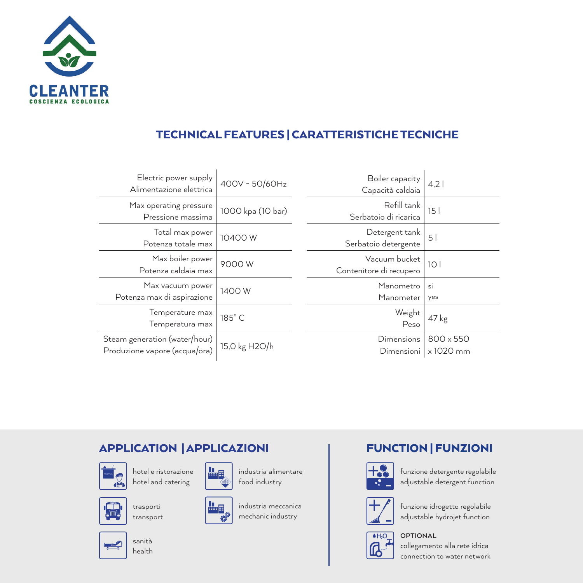

### TECHNICAL FEATURES | CARATTERISTICHE TECNICHE

| Electric power supply<br>Alimentazione elettrica               | 400V - 50/60Hz    | Boiler capacity<br>Capacità caldaia      | 4,2                    |
|----------------------------------------------------------------|-------------------|------------------------------------------|------------------------|
| Max operating pressure<br>Pressione massima                    | 1000 kpa (10 bar) | Refill tank<br>Serbatojo di ricarica     | 151                    |
| Total max power<br>Potenza totale max                          | 10400W            | Detergent tank<br>Serbatoio detergente   | 51                     |
| Max boiler power<br>Potenza caldaia max                        | 9000W             | Vacuum bucket<br>Contenitore di recupero | 101                    |
| Max vacuum power<br>Potenza max di aspirazione                 | 1400 W            | Manometro<br>Manometer                   | si<br>yes              |
| Temperature max<br>Temperatura max                             | 185°C             | Weight<br>Peso                           | 47 kg                  |
| Steam generation (water/hour)<br>Produzione vapore (acqua/ora) | 15,0 kg H2O/h     | Dimensions<br>Dimensioni                 | 800 x 550<br>x 1020 mm |

### APPLICATION | APPLICAZIONI



hotel e ristorazione hotel and catering



trasporti transport



sanità health



industria alimentare food industry



industria meccanica mechanic industry

### FUNCTION | FUNZIONI



funzione detergente regolabile adjustable detergent function



funzione idrogetto regolabile adjustable hydrojet function



**OPTIONAL**

collegamento alla rete idrica connection to water network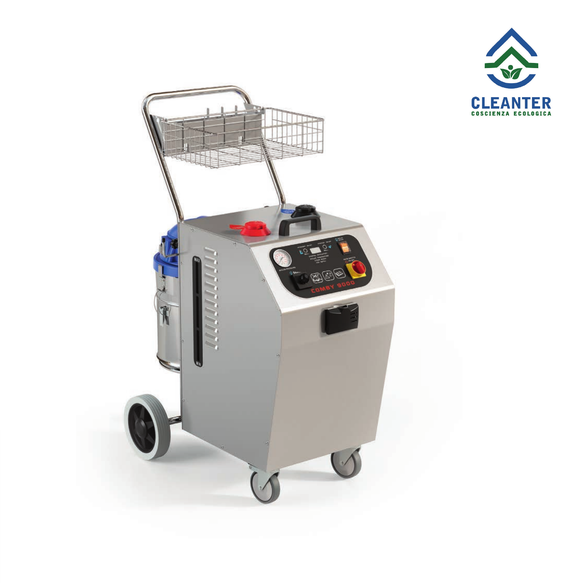

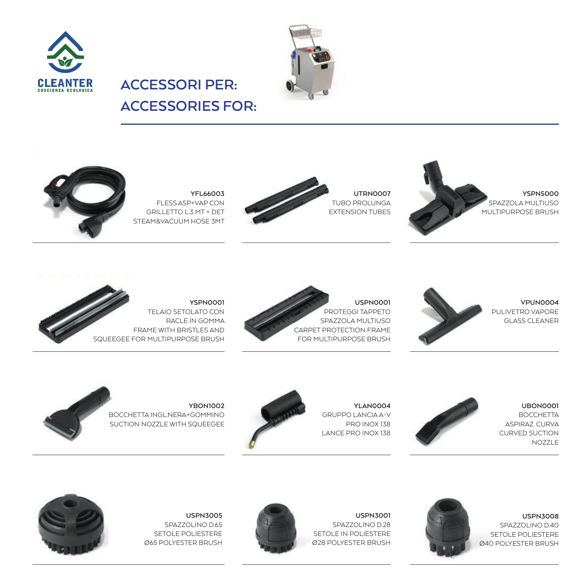



# **ACCESSORIES FOR:**

**ACCESSORI PER:**



**YFL66003** FLESS.ASP+VAP CON GRILLETTO L.3 MT + DET STEAM&VACUUM HOSE 3MT









**YSPN0001** TELAIO SETOLATO CON RACLE IN GOMMA FRAME WITH BRISTLES AND SQUEEGEE FOR MULTIPURPOSE BRUSH





**UBON0001 BOCCHETTA** ASPIRAZ. CURVA CURVED SUCTION NOZZLE



**YLAN0004** GRUPPO LANCIA A-V PRO INOX 138 LANCE PRO INOX 138



**YBON1002** BOCCHETTA INGL.NERA+GOMMINO SUCTION NOZZLE WITH SQUEEGEE



**USPN3001** SPAZZOLINO D.28 SETOLE IN POLIESTERE Ø28 POLYESTER BRUSH



**USPN3005** SPAZZOLINO D.65 SETOLE POLIESTERE Ø65 POLYESTER BRUSH



**USPN3008** SPAZZOLINO D.40 SETOLE POLIESTERE Ø40 POLYESTER BRUSH